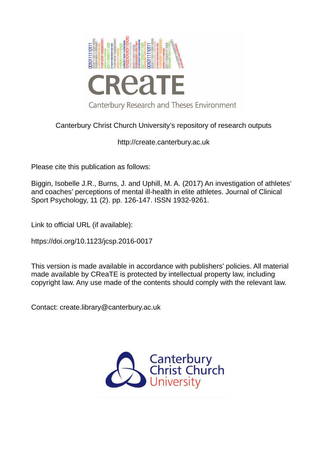

# Canterbury Christ Church University's repository of research outputs

http://create.canterbury.ac.uk

Please cite this publication as follows:

Biggin, Isobelle J.R., Burns, J. and Uphill, M. A. (2017) An investigation of athletes' and coaches' perceptions of mental ill-health in elite athletes. Journal of Clinical Sport Psychology, 11 (2). pp. 126-147. ISSN 1932-9261.

Link to official URL (if available):

https://doi.org/10.1123/jcsp.2016-0017

This version is made available in accordance with publishers' policies. All material made available by CReaTE is protected by intellectual property law, including copyright law. Any use made of the contents should comply with the relevant law.

Contact: create.library@canterbury.ac.uk

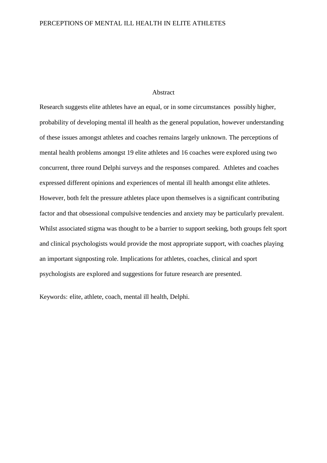# Abstract

Research suggests elite athletes have an equal, or in some circumstances possibly higher, probability of developing mental ill health as the general population, however understanding of these issues amongst athletes and coaches remains largely unknown. The perceptions of mental health problems amongst 19 elite athletes and 16 coaches were explored using two concurrent, three round Delphi surveys and the responses compared. Athletes and coaches expressed different opinions and experiences of mental ill health amongst elite athletes. However, both felt the pressure athletes place upon themselves is a significant contributing factor and that obsessional compulsive tendencies and anxiety may be particularly prevalent. Whilst associated stigma was thought to be a barrier to support seeking, both groups felt sport and clinical psychologists would provide the most appropriate support, with coaches playing an important signposting role. Implications for athletes, coaches, clinical and sport psychologists are explored and suggestions for future research are presented.

Keywords: elite, athlete, coach, mental ill health, Delphi.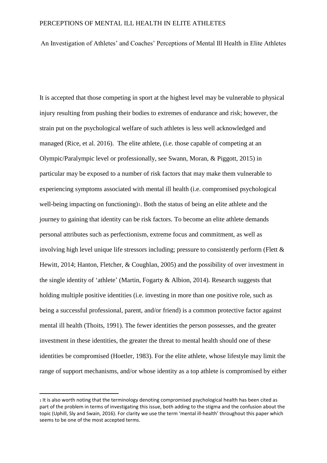An Investigation of Athletes' and Coaches' Perceptions of Mental Ill Health in Elite Athletes

It is accepted that those competing in sport at the highest level may be vulnerable to physical injury resulting from pushing their bodies to extremes of endurance and risk; however, the strain put on the psychological welfare of such athletes is less well acknowledged and managed (Rice, et al. 2016). The elite athlete, (i.e. those capable of competing at an Olympic/Paralympic level or professionally, see Swann, Moran, & Piggott, 2015) in particular may be exposed to a number of risk factors that may make them vulnerable to experiencing symptoms associated with mental ill health (i.e. compromised psychological well-being impacting on functioning)1. Both the status of being an elite athlete and the journey to gaining that identity can be risk factors. To become an elite athlete demands personal attributes such as perfectionism, extreme focus and commitment, as well as involving high level unique life stressors including; pressure to consistently perform (Flett & Hewitt, 2014; Hanton, Fletcher, & Coughlan, 2005) and the possibility of over investment in the single identity of 'athlete' (Martin, Fogarty & Albion, 2014). Research suggests that holding multiple positive identities (i.e. investing in more than one positive role, such as being a successful professional, parent, and/or friend) is a common protective factor against mental ill health (Thoits, 1991). The fewer identities the person possesses, and the greater investment in these identities, the greater the threat to mental health should one of these identities be compromised (Hoetler, 1983). For the elite athlete, whose lifestyle may limit the range of support mechanisms, and/or whose identity as a top athlete is compromised by either

<u>.</u>

<sup>1</sup> It is also worth noting that the terminology denoting compromised psychological health has been cited as part of the problem in terms of investigating this issue, both adding to the stigma and the confusion about the topic (Uphill, Sly and Swain, 2016). For clarity we use the term 'mental ill-health' throughout this paper which seems to be one of the most accepted terms.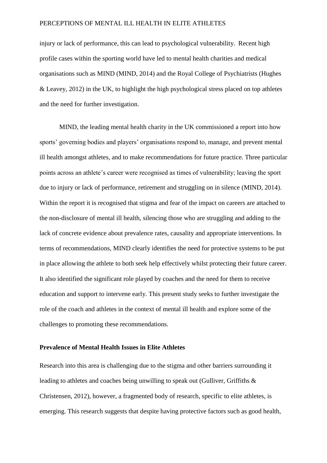injury or lack of performance, this can lead to psychological vulnerability. Recent high profile cases within the sporting world have led to mental health charities and medical organisations such as MIND (MIND, 2014) and the Royal College of Psychiatrists (Hughes & Leavey, 2012) in the UK, to highlight the high psychological stress placed on top athletes and the need for further investigation.

 MIND, the leading mental health charity in the UK commissioned a report into how sports' governing bodies and players' organisations respond to, manage, and prevent mental ill health amongst athletes, and to make recommendations for future practice. Three particular points across an athlete's career were recognised as times of vulnerability; leaving the sport due to injury or lack of performance, retirement and struggling on in silence (MIND, 2014). Within the report it is recognised that stigma and fear of the impact on careers are attached to the non-disclosure of mental ill health, silencing those who are struggling and adding to the lack of concrete evidence about prevalence rates, causality and appropriate interventions. In terms of recommendations, MIND clearly identifies the need for protective systems to be put in place allowing the athlete to both seek help effectively whilst protecting their future career. It also identified the significant role played by coaches and the need for them to receive education and support to intervene early. This present study seeks to further investigate the role of the coach and athletes in the context of mental ill health and explore some of the challenges to promoting these recommendations.

# **Prevalence of Mental Health Issues in Elite Athletes**

Research into this area is challenging due to the stigma and other barriers surrounding it leading to athletes and coaches being unwilling to speak out (Gulliver, Griffiths & Christensen, 2012), however, a fragmented body of research, specific to elite athletes, is emerging. This research suggests that despite having protective factors such as good health,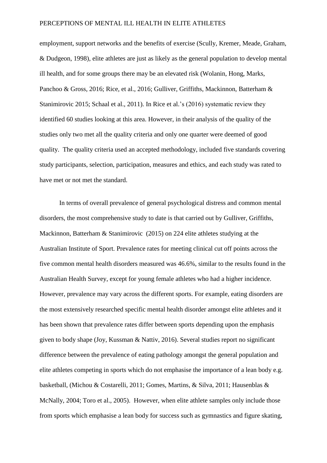employment, support networks and the benefits of exercise (Scully, Kremer, Meade, Graham, & Dudgeon, 1998), elite athletes are just as likely as the general population to develop mental ill health, and for some groups there may be an elevated risk (Wolanin, Hong, Marks, Panchoo & Gross, 2016; Rice, et al., 2016; Gulliver, Griffiths, Mackinnon, Batterham & Stanimirovic 2015; Schaal et al., 2011). In Rice et al.'s (2016) systematic review they identified 60 studies looking at this area. However, in their analysis of the quality of the studies only two met all the quality criteria and only one quarter were deemed of good quality. The quality criteria used an accepted methodology, included five standards covering study participants, selection, participation, measures and ethics, and each study was rated to have met or not met the standard.

In terms of overall prevalence of general psychological distress and common mental disorders, the most comprehensive study to date is that carried out by Gulliver, Griffiths, Mackinnon, Batterham & Stanimirovic (2015) on 224 elite athletes studying at the Australian Institute of Sport. Prevalence rates for meeting clinical cut off points across the five common mental health disorders measured was 46.6%, similar to the results found in the Australian Health Survey, except for young female athletes who had a higher incidence. However, prevalence may vary across the different sports. For example, eating disorders are the most extensively researched specific mental health disorder amongst elite athletes and it has been shown that prevalence rates differ between sports depending upon the emphasis given to body shape (Joy, Kussman & Nattiv, 2016). Several studies report no significant difference between the prevalence of eating pathology amongst the general population and elite athletes competing in sports which do not emphasise the importance of a lean body e.g. basketball, (Michou & Costarelli, 2011; Gomes, Martins, & Silva, 2011; Hausenblas & McNally, 2004; Toro et al., 2005). However, when elite athlete samples only include those from sports which emphasise a lean body for success such as gymnastics and figure skating,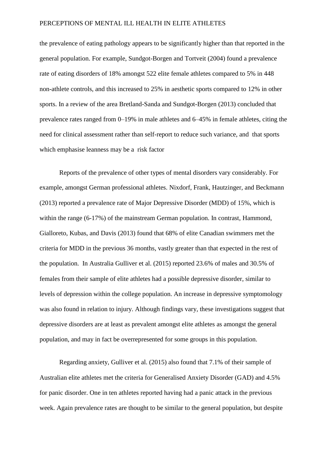the prevalence of eating pathology appears to be significantly higher than that reported in the general population. For example, Sundgot-Borgen and Tortveit (2004) found a prevalence rate of eating disorders of 18% amongst 522 elite female athletes compared to 5% in 448 non-athlete controls, and this increased to 25% in aesthetic sports compared to 12% in other sports. In a review of the area Bretland-Sanda and Sundgot-Borgen (2013) concluded that prevalence rates ranged from 0–19% in male athletes and 6–45% in female athletes, citing the need for clinical assessment rather than self-report to reduce such variance, and that sports which emphasise leanness may be a risk factor

 Reports of the prevalence of other types of mental disorders vary considerably. For example, amongst German professional athletes. Nixdorf, Frank, Hautzinger, and Beckmann (2013) reported a prevalence rate of Major Depressive Disorder (MDD) of 15%, which is within the range (6-17%) of the mainstream German population. In contrast, Hammond, Gialloreto, Kubas, and Davis (2013) found that 68% of elite Canadian swimmers met the criteria for MDD in the previous 36 months, vastly greater than that expected in the rest of the population. In Australia Gulliver et al. (2015) reported 23.6% of males and 30.5% of females from their sample of elite athletes had a possible depressive disorder, similar to levels of depression within the college population. An increase in depressive symptomology was also found in relation to injury. Although findings vary, these investigations suggest that depressive disorders are at least as prevalent amongst elite athletes as amongst the general population, and may in fact be overrepresented for some groups in this population.

Regarding anxiety, Gulliver et al. (2015) also found that 7.1% of their sample of Australian elite athletes met the criteria for Generalised Anxiety Disorder (GAD) and 4.5% for panic disorder. One in ten athletes reported having had a panic attack in the previous week. Again prevalence rates are thought to be similar to the general population, but despite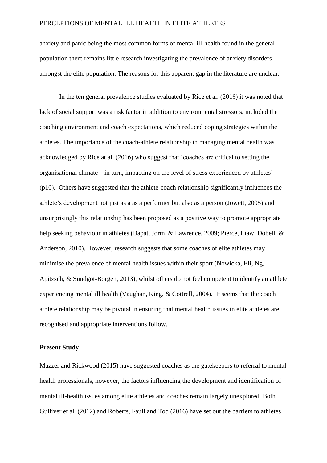anxiety and panic being the most common forms of mental ill-health found in the general population there remains little research investigating the prevalence of anxiety disorders amongst the elite population. The reasons for this apparent gap in the literature are unclear.

In the ten general prevalence studies evaluated by Rice et al. (2016) it was noted that lack of social support was a risk factor in addition to environmental stressors, included the coaching environment and coach expectations, which reduced coping strategies within the athletes. The importance of the coach-athlete relationship in managing mental health was acknowledged by Rice at al. (2016) who suggest that 'coaches are critical to setting the organisational climate—in turn, impacting on the level of stress experienced by athletes' (p16). Others have suggested that the athlete-coach relationship significantly influences the athlete's development not just as a as a performer but also as a person (Jowett, 2005) and unsurprisingly this relationship has been proposed as a positive way to promote appropriate help seeking behaviour in athletes (Bapat, Jorm, & Lawrence, 2009; Pierce, Liaw, Dobell, & Anderson, 2010). However, research suggests that some coaches of elite athletes may minimise the prevalence of mental health issues within their sport (Nowicka, Eli, Ng, Apitzsch, & Sundgot-Borgen, 2013), whilst others do not feel competent to identify an athlete experiencing mental ill health (Vaughan, King, & Cottrell, 2004). It seems that the coach athlete relationship may be pivotal in ensuring that mental health issues in elite athletes are recognised and appropriate interventions follow.

# **Present Study**

Mazzer and Rickwood (2015) have suggested coaches as the gatekeepers to referral to mental health professionals, however, the factors influencing the development and identification of mental ill-health issues among elite athletes and coaches remain largely unexplored. Both Gulliver et al. (2012) and Roberts, Faull and Tod (2016) have set out the barriers to athletes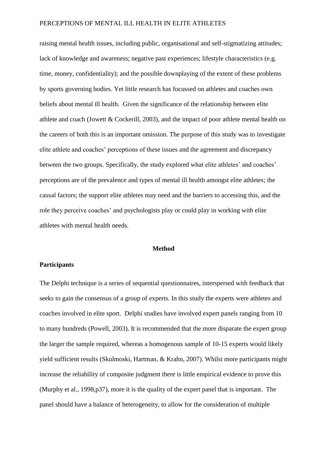raising mental health issues, including public, organisational and self-stigmatizing attitudes; lack of knowledge and awareness; negative past experiences; lifestyle characteristics (e.g. time, money, confidentiality); and the possible downplaying of the extent of these problems by sports governing bodies. Yet little research has focussed on athletes and coaches own beliefs about mental ill health. Given the significance of the relationship between elite athlete and coach (Jowett & Cockerill, 2003), and the impact of poor athlete mental health on the careers of both this is an important omission. The purpose of this study was to investigate elite athlete and coaches' perceptions of these issues and the agreement and discrepancy between the two groups. Specifically, the study explored what elite athletes' and coaches' perceptions are of the prevalence and types of mental ill health amongst elite athletes; the causal factors; the support elite athletes may need and the barriers to accessing this, and the role they perceive coaches' and psychologists play or could play in working with elite athletes with mental health needs.

### **Method**

## **Participants**

The Delphi technique is a series of sequential questionnaires, interspersed with feedback that seeks to gain the consensus of a group of experts. In this study the experts were athletes and coaches involved in elite sport. Delphi studies have involved expert panels ranging from 10 to many hundreds (Powell, 2003). It is recommended that the more disparate the expert group the larger the sample required, whereas a homogenous sample of 10-15 experts would likely yield sufficient results (Skulmoski, Hartman, & Krahn, 2007). Whilst more participants might increase the reliability of composite judgment there is little empirical evidence to prove this (Murphy et al., 1998,p37), more it is the quality of the expert panel that is important. The panel should have a balance of heterogeneity, to allow for the consideration of multiple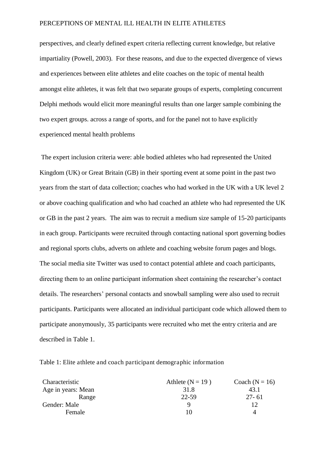perspectives, and clearly defined expert criteria reflecting current knowledge, but relative impartiality (Powell, 2003). For these reasons, and due to the expected divergence of views and experiences between elite athletes and elite coaches on the topic of mental health amongst elite athletes, it was felt that two separate groups of experts, completing concurrent Delphi methods would elicit more meaningful results than one larger sample combining the two expert groups. across a range of sports, and for the panel not to have explicitly experienced mental health problems

 The expert inclusion criteria were: able bodied athletes who had represented the United Kingdom (UK) or Great Britain (GB) in their sporting event at some point in the past two years from the start of data collection; coaches who had worked in the UK with a UK level 2 or above coaching qualification and who had coached an athlete who had represented the UK or GB in the past 2 years. The aim was to recruit a medium size sample of 15-20 participants in each group. Participants were recruited through contacting national sport governing bodies and regional sports clubs, adverts on athlete and coaching website forum pages and blogs. The social media site Twitter was used to contact potential athlete and coach participants, directing them to an online participant information sheet containing the researcher's contact details. The researchers' personal contacts and snowball sampling were also used to recruit participants. Participants were allocated an individual participant code which allowed them to participate anonymously, 35 participants were recruited who met the entry criteria and are described in Table 1.

| Table 1: Elite athlete and coach participant demographic information |  |
|----------------------------------------------------------------------|--|
|----------------------------------------------------------------------|--|

| Characteristic     | Athlete $(N = 19)$ | Coach $(N = 16)$ |
|--------------------|--------------------|------------------|
| Age in years: Mean | 31.8               | 43.1             |
| Range              | 22-59              | $27 - 61$        |
| Gender: Male       |                    | 12               |
| Female             | 10                 | Δ                |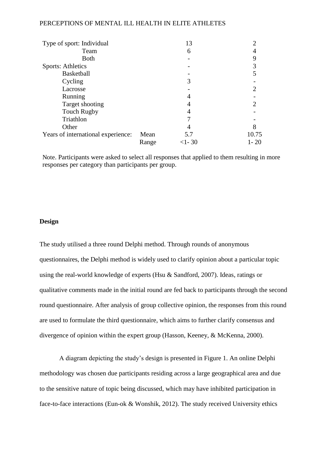| Type of sport: Individual          |       | 13      |          |
|------------------------------------|-------|---------|----------|
| Team                               |       | 6       |          |
| <b>Both</b>                        |       |         |          |
| <b>Sports: Athletics</b>           |       |         |          |
| <b>Basketball</b>                  |       |         |          |
| Cycling                            |       |         |          |
| Lacrosse                           |       |         |          |
| Running                            |       |         |          |
| Target shooting                    |       |         |          |
| <b>Touch Rugby</b>                 |       |         |          |
| Triathlon                          |       |         |          |
| Other                              |       |         |          |
| Years of international experience: | Mean  | 5.7     | 10.75    |
|                                    | Range | $<1-30$ | $1 - 20$ |

Note. Participants were asked to select all responses that applied to them resulting in more responses per category than participants per group.

# **Design**

The study utilised a three round Delphi method. Through rounds of anonymous questionnaires, the Delphi method is widely used to clarify opinion about a particular topic using the real-world knowledge of experts (Hsu & Sandford, 2007). Ideas, ratings or qualitative comments made in the initial round are fed back to participants through the second round questionnaire. After analysis of group collective opinion, the responses from this round are used to formulate the third questionnaire, which aims to further clarify consensus and divergence of opinion within the expert group (Hasson, Keeney, & McKenna, 2000).

A diagram depicting the study's design is presented in Figure 1. An online Delphi methodology was chosen due participants residing across a large geographical area and due to the sensitive nature of topic being discussed, which may have inhibited participation in face-to-face interactions (Eun-ok & Wonshik, 2012). The study received University ethics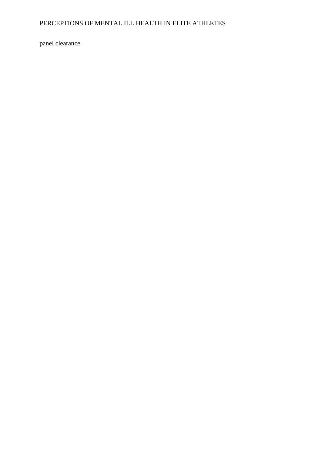panel clearance.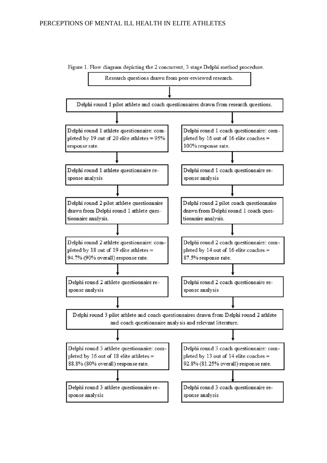

Figure 1. Flow diagram depicting the 2 concurrent, 3 stage Delphi method procedure.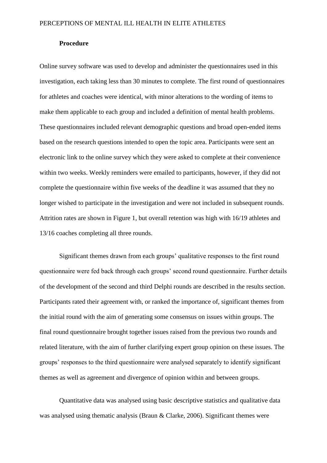# **Procedure**

Online survey software was used to develop and administer the questionnaires used in this investigation, each taking less than 30 minutes to complete. The first round of questionnaires for athletes and coaches were identical, with minor alterations to the wording of items to make them applicable to each group and included a definition of mental health problems. These questionnaires included relevant demographic questions and broad open-ended items based on the research questions intended to open the topic area. Participants were sent an electronic link to the online survey which they were asked to complete at their convenience within two weeks. Weekly reminders were emailed to participants, however, if they did not complete the questionnaire within five weeks of the deadline it was assumed that they no longer wished to participate in the investigation and were not included in subsequent rounds. Attrition rates are shown in Figure 1, but overall retention was high with 16/19 athletes and 13/16 coaches completing all three rounds.

Significant themes drawn from each groups' qualitative responses to the first round questionnaire were fed back through each groups' second round questionnaire. Further details of the development of the second and third Delphi rounds are described in the results section. Participants rated their agreement with, or ranked the importance of, significant themes from the initial round with the aim of generating some consensus on issues within groups. The final round questionnaire brought together issues raised from the previous two rounds and related literature, with the aim of further clarifying expert group opinion on these issues. The groups' responses to the third questionnaire were analysed separately to identify significant themes as well as agreement and divergence of opinion within and between groups.

Quantitative data was analysed using basic descriptive statistics and qualitative data was analysed using thematic analysis (Braun & Clarke, 2006). Significant themes were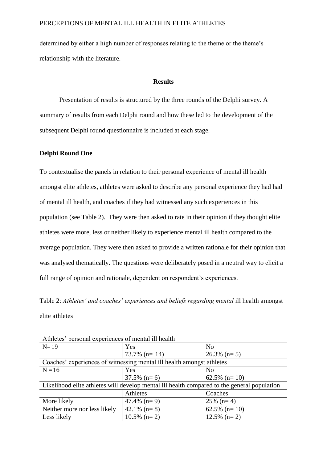determined by either a high number of responses relating to the theme or the theme's relationship with the literature.

# **Results**

Presentation of results is structured by the three rounds of the Delphi survey. A summary of results from each Delphi round and how these led to the development of the subsequent Delphi round questionnaire is included at each stage.

# **Delphi Round One**

To contextualise the panels in relation to their personal experience of mental ill health amongst elite athletes, athletes were asked to describe any personal experience they had had of mental ill health, and coaches if they had witnessed any such experiences in this population (see Table 2). They were then asked to rate in their opinion if they thought elite athletes were more, less or neither likely to experience mental ill health compared to the average population. They were then asked to provide a written rationale for their opinion that was analysed thematically. The questions were deliberately posed in a neutral way to elicit a full range of opinion and rationale, dependent on respondent's experiences.

Table 2: *Athletes' and coaches' experiences and beliefs regarding mental ill health amongst* elite athletes

| $N=19$                                                                                      | Yes              | N <sub>0</sub>   |
|---------------------------------------------------------------------------------------------|------------------|------------------|
|                                                                                             | $73.7\%$ (n= 14) | $26.3\%$ (n= 5)  |
| Coaches' experiences of witnessing mental ill health amongst athletes                       |                  |                  |
| $N = 16$                                                                                    | Yes              | N <sub>0</sub>   |
|                                                                                             | $37.5\%$ (n= 6)  | $62.5\%$ (n= 10) |
| Likelihood elite athletes will develop mental ill health compared to the general population |                  |                  |
|                                                                                             | Athletes         | Coaches          |
| More likely                                                                                 | $47.4\%$ (n= 9)  | $25\%$ (n= 4)    |
| Neither more nor less likely                                                                | 42.1% $(n=8)$    | $62.5\%$ (n= 10) |
| Less likely                                                                                 | $10.5\%$ (n= 2)  | $12.5\%$ (n= 2)  |
|                                                                                             |                  |                  |

Athletes' personal experiences of mental ill health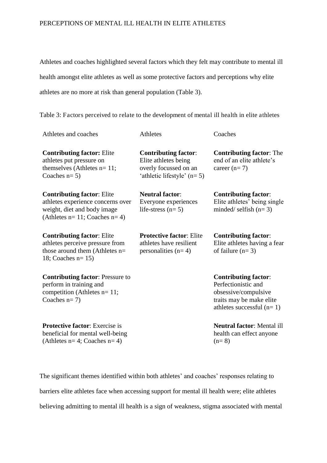Athletes and coaches highlighted several factors which they felt may contribute to mental ill health amongst elite athletes as well as some protective factors and perceptions why elite athletes are no more at risk than general population (Table 3).

Table 3: Factors perceived to relate to the development of mental ill health in elite athletes

| Athletes and coaches                                                                                                                        | <b>Athletes</b>                                                                                              | Coaches                                                                                                                               |
|---------------------------------------------------------------------------------------------------------------------------------------------|--------------------------------------------------------------------------------------------------------------|---------------------------------------------------------------------------------------------------------------------------------------|
| <b>Contributing factor: Elite</b><br>athletes put pressure on<br>themselves (Athletes $n=11$ ;<br>Coaches $n=5$ )                           | <b>Contributing factor:</b><br>Elite athletes being<br>overly focussed on an<br>'athletic lifestyle' $(n=5)$ | <b>Contributing factor:</b> The<br>end of an elite athlete's<br>career $(n=7)$                                                        |
| <b>Contributing factor: Elite</b><br>athletes experience concerns over<br>weight, diet and body image<br>(Athletes $n=11$ ; Coaches $n=4$ ) | <b>Neutral factor:</b><br>Everyone experiences<br>life-stress $(n=5)$                                        | <b>Contributing factor:</b><br>Elite athletes' being single<br>minded/ selfish $(n=3)$                                                |
| <b>Contributing factor: Elite</b><br>athletes perceive pressure from<br>those around them (Athletes n=<br>18; Coaches $n=15$ )              | <b>Protective factor: Elite</b><br>athletes have resilient<br>personalities $(n=4)$                          | <b>Contributing factor:</b><br>Elite athletes having a fear<br>of failure $(n=3)$                                                     |
| <b>Contributing factor:</b> Pressure to<br>perform in training and<br>competition (Athletes n= 11;<br>Coaches $n=7$ )                       |                                                                                                              | <b>Contributing factor:</b><br>Perfectionistic and<br>obsessive/compulsive<br>traits may be make elite<br>athletes successful $(n=1)$ |
| <b>Protective factor:</b> Exercise is<br>beneficial for mental well-being<br>(Athletes $n=4$ ; Coaches $n=4$ )                              |                                                                                                              | <b>Neutral factor: Mental ill</b><br>health can effect anyone<br>$(n=8)$                                                              |

The significant themes identified within both athletes' and coaches' responses relating to barriers elite athletes face when accessing support for mental ill health were; elite athletes believing admitting to mental ill health is a sign of weakness, stigma associated with mental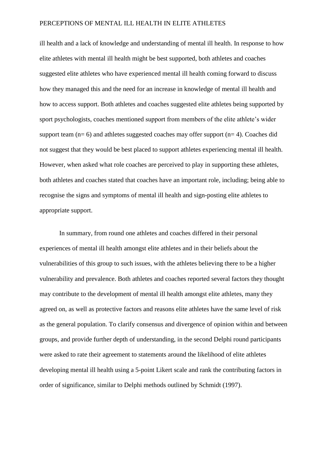ill health and a lack of knowledge and understanding of mental ill health. In response to how elite athletes with mental ill health might be best supported, both athletes and coaches suggested elite athletes who have experienced mental ill health coming forward to discuss how they managed this and the need for an increase in knowledge of mental ill health and how to access support. Both athletes and coaches suggested elite athletes being supported by sport psychologists, coaches mentioned support from members of the elite athlete's wider support team  $(n= 6)$  and athletes suggested coaches may offer support  $(n= 4)$ . Coaches did not suggest that they would be best placed to support athletes experiencing mental ill health. However, when asked what role coaches are perceived to play in supporting these athletes, both athletes and coaches stated that coaches have an important role, including; being able to recognise the signs and symptoms of mental ill health and sign-posting elite athletes to appropriate support.

In summary, from round one athletes and coaches differed in their personal experiences of mental ill health amongst elite athletes and in their beliefs about the vulnerabilities of this group to such issues, with the athletes believing there to be a higher vulnerability and prevalence. Both athletes and coaches reported several factors they thought may contribute to the development of mental ill health amongst elite athletes, many they agreed on, as well as protective factors and reasons elite athletes have the same level of risk as the general population. To clarify consensus and divergence of opinion within and between groups, and provide further depth of understanding, in the second Delphi round participants were asked to rate their agreement to statements around the likelihood of elite athletes developing mental ill health using a 5-point Likert scale and rank the contributing factors in order of significance, similar to Delphi methods outlined by Schmidt (1997).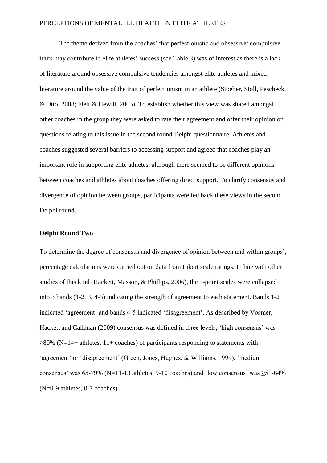The theme derived from the coaches' that perfectionistic and obsessive/ compulsive traits may contribute to elite athletes' success (see Table 3) was of interest as there is a lack of literature around obsessive compulsive tendencies amongst elite athletes and mixed literature around the value of the trait of perfectionism in an athlete (Stoeber, Stoll, Pescheck, & Otto, 2008; Flett & Hewitt, 2005). To establish whether this view was shared amongst other coaches in the group they were asked to rate their agreement and offer their opinion on questions relating to this issue in the second round Delphi questionnaire. Athletes and coaches suggested several barriers to accessing support and agreed that coaches play an important role in supporting elite athletes, although there seemed to be different opinions between coaches and athletes about coaches offering direct support. To clarify consensus and divergence of opinion between groups, participants were fed back these views in the second Delphi round.

# **Delphi Round Two**

To determine the degree of consensus and divergence of opinion between and within groups', percentage calculations were carried out on data from Likert scale ratings. In line with other studies of this kind (Hackett, Masson, & Phillips, 2006), the 5-point scales were collapsed into 3 bands (1-2, 3, 4-5) indicating the strength of agreement to each statement. Bands 1-2 indicated 'agreement' and bands 4-5 indicated 'disagreement'. As described by Vosmer, Hackett and Callanan (2009) consensus was defined in three levels; 'high consensus' was  $\geq$ 80% (N=14+ athletes, 11+ coaches) of participants responding to statements with 'agreement' or 'disagreement' (Green, Jones, Hughes, & Williams, 1999), 'medium consensus' was  $65-79\%$  (N=11-13 athletes, 9-10 coaches) and 'low consensus' was  $\geq 51-64\%$ (N=0-9 athletes, 0-7 coaches) .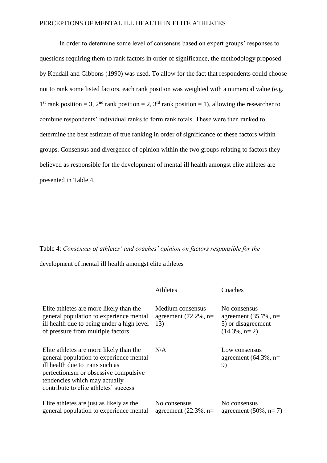In order to determine some level of consensus based on expert groups' responses to questions requiring them to rank factors in order of significance, the methodology proposed by Kendall and Gibbons (1990) was used. To allow for the fact that respondents could choose not to rank some listed factors, each rank position was weighted with a numerical value (e.g. 1<sup>st</sup> rank position = 3, 2<sup>nd</sup> rank position = 2, 3<sup>rd</sup> rank position = 1), allowing the researcher to combine respondents' individual ranks to form rank totals. These were then ranked to determine the best estimate of true ranking in order of significance of these factors within groups. Consensus and divergence of opinion within the two groups relating to factors they believed as responsible for the development of mental ill health amongst elite athletes are presented in Table 4.

# Table 4: *Consensus of athletes' and coaches' opinion on factors responsible for the*

development of mental ill health amongst elite athletes

|                                                                                                                                                                                                                                           | Athletes                                            | Coaches                                                                           |
|-------------------------------------------------------------------------------------------------------------------------------------------------------------------------------------------------------------------------------------------|-----------------------------------------------------|-----------------------------------------------------------------------------------|
| Elite athletes are more likely than the<br>general population to experience mental<br>ill health due to being under a high level<br>of pressure from multiple factors                                                                     | Medium consensus<br>agreement $(72.2\%$ , n=<br>13) | No consensus<br>agreement $(35.7\% , n=$<br>5) or disagreement<br>$(14.3\%, n=2)$ |
| Elite athletes are more likely than the<br>general population to experience mental<br>ill health due to traits such as<br>perfectionism or obsessive compulsive<br>tendencies which may actually<br>contribute to elite athletes' success | N/A                                                 | Low consensus<br>agreement $(64.3\%$ , n=<br>9)                                   |
| Elite athletes are just as likely as the<br>general population to experience mental                                                                                                                                                       | No consensus<br>agreement $(22.3\%$ , n=            | No consensus<br>agreement $(50\%, n=7)$                                           |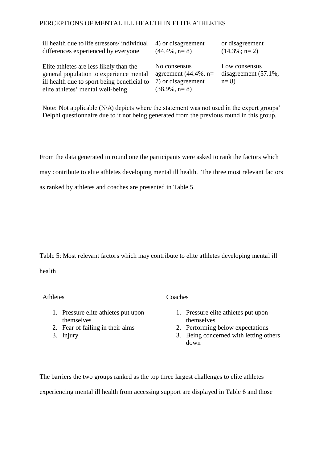| ill health due to life stressors/ individual                                                                                                                           | 4) or disagreement                                                                | or disagreement                                    |
|------------------------------------------------------------------------------------------------------------------------------------------------------------------------|-----------------------------------------------------------------------------------|----------------------------------------------------|
| differences experienced by everyone                                                                                                                                    | $(44.4\%, n=8)$                                                                   | $(14.3\%; n=2)$                                    |
| Elite athletes are less likely than the<br>general population to experience mental<br>ill health due to sport being beneficial to<br>elite athletes' mental well-being | No consensus<br>agreement $(44.4\%$ , n=<br>7) or disagreement<br>$(38.9\%, n=8)$ | Low consensus<br>disagreement $(57.1\%$ ,<br>$n=8$ |

Note: Not applicable (N/A) depicts where the statement was not used in the expert groups' Delphi questionnaire due to it not being generated from the previous round in this group.

From the data generated in round one the participants were asked to rank the factors which may contribute to elite athletes developing mental ill health. The three most relevant factors as ranked by athletes and coaches are presented in Table 5.

Table 5: Most relevant factors which may contribute to elite athletes developing mental ill

health

Athletes Coaches

- 1. Pressure elite athletes put upon themselves
- 2. Fear of failing in their aims
- 3. Injury
- - 1. Pressure elite athletes put upon themselves
	- 2. Performing below expectations
	- 3. Being concerned with letting others down

The barriers the two groups ranked as the top three largest challenges to elite athletes experiencing mental ill health from accessing support are displayed in Table 6 and those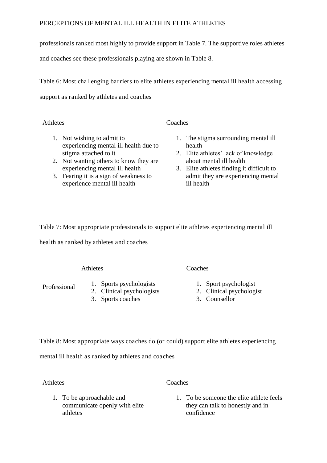professionals ranked most highly to provide support in Table 7. The supportive roles athletes

and coaches see these professionals playing are shown in Table 8.

Table 6: Most challenging barriers to elite athletes experiencing mental ill health accessing support as ranked by athletes and coaches

Athletes Coaches

- 1. Not wishing to admit to experiencing mental ill health due to stigma attached to it
- 2. Not wanting others to know they are experiencing mental ill health
- 3. Fearing it is a sign of weakness to experience mental ill health
- 1. The stigma surrounding mental ill health
- 2. Elite athletes' lack of knowledge about mental ill health
- 3. Elite athletes finding it difficult to admit they are experiencing mental ill health

Table 7: Most appropriate professionals to support elite athletes experiencing mental ill health as ranked by athletes and coaches

# Athletes Coaches

- Professional 1. Sports psychologists
	- 2. Clinical psychologists
	- 3. Sports coaches

- 1. Sport psychologist
- 2. Clinical psychologist
- 3. Counsellor

Table 8: Most appropriate ways coaches do (or could) support elite athletes experiencing

mental ill health as ranked by athletes and coaches

Athletes Coaches

- 1. To be approachable and communicate openly with elite athletes
- 1. To be someone the elite athlete feels they can talk to honestly and in confidence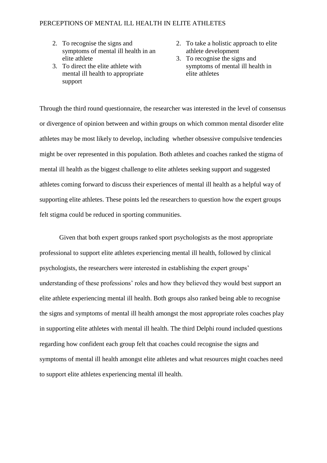- 2. To recognise the signs and symptoms of mental ill health in an elite athlete
- 3. To direct the elite athlete with mental ill health to appropriate support
- 2. To take a holistic approach to elite athlete development
- 3. To recognise the signs and symptoms of mental ill health in elite athletes

Through the third round questionnaire, the researcher was interested in the level of consensus or divergence of opinion between and within groups on which common mental disorder elite athletes may be most likely to develop, including whether obsessive compulsive tendencies might be over represented in this population. Both athletes and coaches ranked the stigma of mental ill health as the biggest challenge to elite athletes seeking support and suggested athletes coming forward to discuss their experiences of mental ill health as a helpful way of supporting elite athletes. These points led the researchers to question how the expert groups felt stigma could be reduced in sporting communities.

Given that both expert groups ranked sport psychologists as the most appropriate professional to support elite athletes experiencing mental ill health, followed by clinical psychologists, the researchers were interested in establishing the expert groups' understanding of these professions' roles and how they believed they would best support an elite athlete experiencing mental ill health. Both groups also ranked being able to recognise the signs and symptoms of mental ill health amongst the most appropriate roles coaches play in supporting elite athletes with mental ill health. The third Delphi round included questions regarding how confident each group felt that coaches could recognise the signs and symptoms of mental ill health amongst elite athletes and what resources might coaches need to support elite athletes experiencing mental ill health.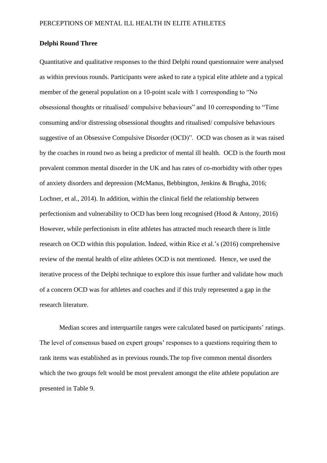# **Delphi Round Three**

Quantitative and qualitative responses to the third Delphi round questionnaire were analysed as within previous rounds. Participants were asked to rate a typical elite athlete and a typical member of the general population on a 10-point scale with 1 corresponding to "No obsessional thoughts or ritualised/ compulsive behaviours" and 10 corresponding to "Time consuming and/or distressing obsessional thoughts and ritualised/ compulsive behaviours suggestive of an Obsessive Compulsive Disorder (OCD)". OCD was chosen as it was raised by the coaches in round two as being a predictor of mental ill health. OCD is the fourth most prevalent common mental disorder in the UK and has rates of co-morbidity with other types of anxiety disorders and depression (McManus, Bebbington, Jenkins & Brugha, 2016; Lochner, et al., 2014). In addition, within the clinical field the relationship between perfectionism and vulnerability to OCD has been long recognised (Hood & Antony, 2016) However, while perfectionism in elite athletes has attracted much research there is little research on OCD within this population. Indeed, within Rice et al.'s (2016) comprehensive review of the mental health of elite athletes OCD is not mentioned. Hence, we used the iterative process of the Delphi technique to explore this issue further and validate how much of a concern OCD was for athletes and coaches and if this truly represented a gap in the research literature.

Median scores and interquartile ranges were calculated based on participants' ratings. The level of consensus based on expert groups' responses to a questions requiring them to rank items was established as in previous rounds.The top five common mental disorders which the two groups felt would be most prevalent amongst the elite athlete population are presented in Table 9.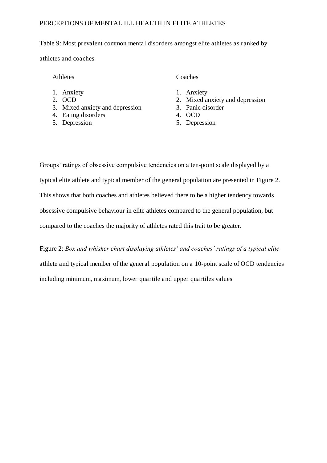# Table 9: Most prevalent common mental disorders amongst elite athletes as ranked by athletes and coaches

Athletes Coaches

- 1. Anxiety
- 2. OCD
- 3. Mixed anxiety and depression
- 4. Eating disorders
- 5. Depression

- 1. Anxiety
- 2. Mixed anxiety and depression
- 3. Panic disorder
- 4. OCD
- 5. Depression

Groups' ratings of obsessive compulsive tendencies on a ten-point scale displayed by a typical elite athlete and typical member of the general population are presented in Figure 2. This shows that both coaches and athletes believed there to be a higher tendency towards obsessive compulsive behaviour in elite athletes compared to the general population, but compared to the coaches the majority of athletes rated this trait to be greater.

Figure 2: *Box and whisker chart displaying athletes' and coaches' ratings of a typical elite*  athlete and typical member of the general population on a 10-point scale of OCD tendencies including minimum, maximum, lower quartile and upper quartiles values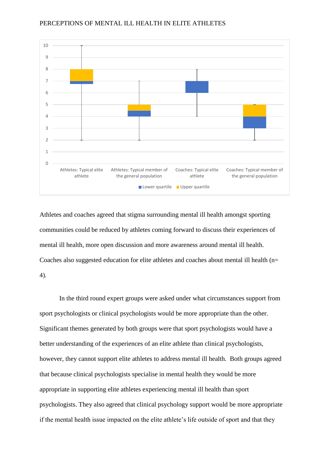

Athletes and coaches agreed that stigma surrounding mental ill health amongst sporting communities could be reduced by athletes coming forward to discuss their experiences of mental ill health, more open discussion and more awareness around mental ill health. Coaches also suggested education for elite athletes and coaches about mental ill health (n= 4).

In the third round expert groups were asked under what circumstances support from sport psychologists or clinical psychologists would be more appropriate than the other. Significant themes generated by both groups were that sport psychologists would have a better understanding of the experiences of an elite athlete than clinical psychologists, however, they cannot support elite athletes to address mental ill health. Both groups agreed that because clinical psychologists specialise in mental health they would be more appropriate in supporting elite athletes experiencing mental ill health than sport psychologists. They also agreed that clinical psychology support would be more appropriate if the mental health issue impacted on the elite athlete's life outside of sport and that they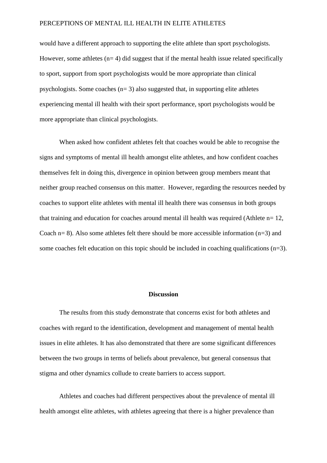would have a different approach to supporting the elite athlete than sport psychologists. However, some athletes  $(n= 4)$  did suggest that if the mental health issue related specifically to sport, support from sport psychologists would be more appropriate than clinical psychologists. Some coaches  $(n=3)$  also suggested that, in supporting elite athletes experiencing mental ill health with their sport performance, sport psychologists would be more appropriate than clinical psychologists.

When asked how confident athletes felt that coaches would be able to recognise the signs and symptoms of mental ill health amongst elite athletes, and how confident coaches themselves felt in doing this, divergence in opinion between group members meant that neither group reached consensus on this matter. However, regarding the resources needed by coaches to support elite athletes with mental ill health there was consensus in both groups that training and education for coaches around mental ill health was required (Athlete n= 12, Coach  $n= 8$ ). Also some athletes felt there should be more accessible information ( $n=3$ ) and some coaches felt education on this topic should be included in coaching qualifications  $(n=3)$ .

# **Discussion**

The results from this study demonstrate that concerns exist for both athletes and coaches with regard to the identification, development and management of mental health issues in elite athletes. It has also demonstrated that there are some significant differences between the two groups in terms of beliefs about prevalence, but general consensus that stigma and other dynamics collude to create barriers to access support.

Athletes and coaches had different perspectives about the prevalence of mental ill health amongst elite athletes, with athletes agreeing that there is a higher prevalence than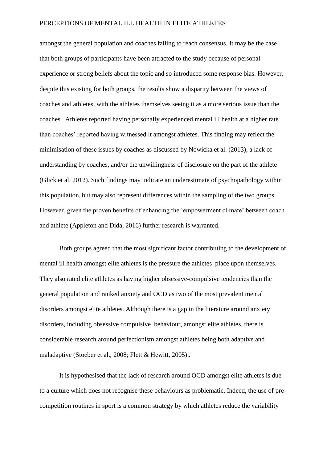amongst the general population and coaches failing to reach consensus. It may be the case that both groups of participants have been attracted to the study because of personal experience or strong beliefs about the topic and so introduced some response bias. However, despite this existing for both groups, the results show a disparity between the views of coaches and athletes, with the athletes themselves seeing it as a more serious issue than the coaches. Athletes reported having personally experienced mental ill health at a higher rate than coaches' reported having witnessed it amongst athletes. This finding may reflect the minimisation of these issues by coaches as discussed by Nowicka et al. (2013), a lack of understanding by coaches, and/or the unwillingness of disclosure on the part of the athlete (Glick et al, 2012). Such findings may indicate an underestimate of psychopathology within this population, but may also represent differences within the sampling of the two groups. However, given the proven benefits of enhancing the 'empowerment climate' between coach and athlete (Appleton and Dida, 2016) further research is warranted.

Both groups agreed that the most significant factor contributing to the development of mental ill health amongst elite athletes is the pressure the athletes place upon themselves. They also rated elite athletes as having higher obsessive-compulsive tendencies than the general population and ranked anxiety and OCD as two of the most prevalent mental disorders amongst elite athletes. Although there is a gap in the literature around anxiety disorders, including obsessive compulsive behaviour, amongst elite athletes, there is considerable research around perfectionism amongst athletes being both adaptive and maladaptive (Stoeber et al., 2008; Flett & Hewitt, 2005)..

It is hypothesised that the lack of research around OCD amongst elite athletes is due to a culture which does not recognise these behaviours as problematic. Indeed, the use of precompetition routines in sport is a common strategy by which athletes reduce the variability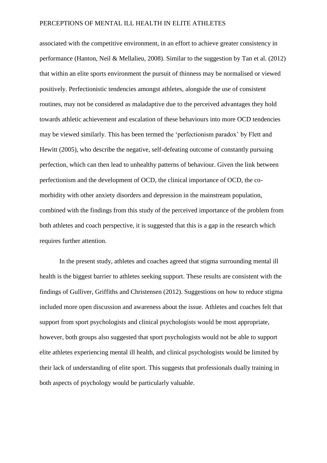associated with the competitive environment, in an effort to achieve greater consistency in performance (Hanton, Neil & Mellalieu, 2008). Similar to the suggestion by Tan et al. (2012) that within an elite sports environment the pursuit of thinness may be normalised or viewed positively. Perfectionistic tendencies amongst athletes, alongside the use of consistent routines, may not be considered as maladaptive due to the perceived advantages they hold towards athletic achievement and escalation of these behaviours into more OCD tendencies may be viewed similarly. This has been termed the 'perfectionism paradox' by Flett and Hewitt (2005), who describe the negative, self-defeating outcome of constantly pursuing perfection, which can then lead to unhealthy patterns of behaviour. Given the link between perfectionism and the development of OCD, the clinical importance of OCD, the comorbidity with other anxiety disorders and depression in the mainstream population, combined with the findings from this study of the perceived importance of the problem from both athletes and coach perspective, it is suggested that this is a gap in the research which requires further attention.

In the present study, athletes and coaches agreed that stigma surrounding mental ill health is the biggest barrier to athletes seeking support. These results are consistent with the findings of Gulliver, Griffiths and Christensen (2012). Suggestions on how to reduce stigma included more open discussion and awareness about the issue. Athletes and coaches felt that support from sport psychologists and clinical psychologists would be most appropriate, however, both groups also suggested that sport psychologists would not be able to support elite athletes experiencing mental ill health, and clinical psychologists would be limited by their lack of understanding of elite sport. This suggests that professionals dually training in both aspects of psychology would be particularly valuable.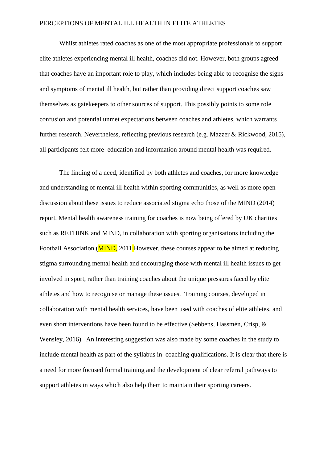Whilst athletes rated coaches as one of the most appropriate professionals to support elite athletes experiencing mental ill health, coaches did not. However, both groups agreed that coaches have an important role to play, which includes being able to recognise the signs and symptoms of mental ill health, but rather than providing direct support coaches saw themselves as gatekeepers to other sources of support. This possibly points to some role confusion and potential unmet expectations between coaches and athletes, which warrants further research. Nevertheless, reflecting previous research (e.g. Mazzer & Rickwood, 2015), all participants felt more education and information around mental health was required.

The finding of a need, identified by both athletes and coaches, for more knowledge and understanding of mental ill health within sporting communities, as well as more open discussion about these issues to reduce associated stigma echo those of the MIND (2014) report. Mental health awareness training for coaches is now being offered by UK charities such as RETHINK and MIND, in collaboration with sporting organisations including the Football Association (**MIND**, 2011 However, these courses appear to be aimed at reducing stigma surrounding mental health and encouraging those with mental ill health issues to get involved in sport, rather than training coaches about the unique pressures faced by elite athletes and how to recognise or manage these issues. Training courses, developed in collaboration with mental health services, have been used with coaches of elite athletes, and even short interventions have been found to be effective (Sebbens, Hassmén, Crisp, & Wensley, 2016). An interesting suggestion was also made by some coaches in the study to include mental health as part of the syllabus in coaching qualifications. It is clear that there is a need for more focused formal training and the development of clear referral pathways to support athletes in ways which also help them to maintain their sporting careers.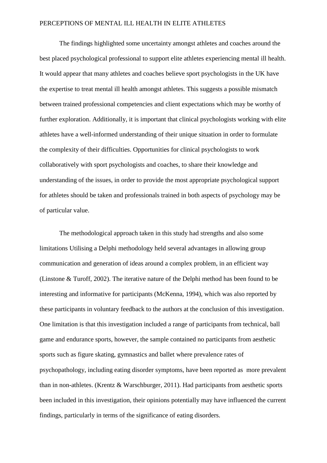The findings highlighted some uncertainty amongst athletes and coaches around the best placed psychological professional to support elite athletes experiencing mental ill health. It would appear that many athletes and coaches believe sport psychologists in the UK have the expertise to treat mental ill health amongst athletes. This suggests a possible mismatch between trained professional competencies and client expectations which may be worthy of further exploration. Additionally, it is important that clinical psychologists working with elite athletes have a well-informed understanding of their unique situation in order to formulate the complexity of their difficulties. Opportunities for clinical psychologists to work collaboratively with sport psychologists and coaches, to share their knowledge and understanding of the issues, in order to provide the most appropriate psychological support for athletes should be taken and professionals trained in both aspects of psychology may be of particular value.

The methodological approach taken in this study had strengths and also some limitations Utilising a Delphi methodology held several advantages in allowing group communication and generation of ideas around a complex problem, in an efficient way (Linstone & Turoff, 2002). The iterative nature of the Delphi method has been found to be interesting and informative for participants (McKenna, 1994), which was also reported by these participants in voluntary feedback to the authors at the conclusion of this investigation. One limitation is that this investigation included a range of participants from technical, ball game and endurance sports, however, the sample contained no participants from aesthetic sports such as figure skating, gymnastics and ballet where prevalence rates of psychopathology, including eating disorder symptoms, have been reported as more prevalent than in non-athletes. (Krentz & Warschburger, 2011). Had participants from aesthetic sports been included in this investigation, their opinions potentially may have influenced the current findings, particularly in terms of the significance of eating disorders.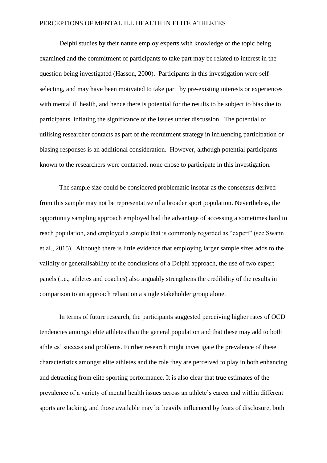Delphi studies by their nature employ experts with knowledge of the topic being examined and the commitment of participants to take part may be related to interest in the question being investigated (Hasson, 2000). Participants in this investigation were selfselecting, and may have been motivated to take part by pre-existing interests or experiences with mental ill health, and hence there is potential for the results to be subject to bias due to participants inflating the significance of the issues under discussion. The potential of utilising researcher contacts as part of the recruitment strategy in influencing participation or biasing responses is an additional consideration. However, although potential participants known to the researchers were contacted, none chose to participate in this investigation.

The sample size could be considered problematic insofar as the consensus derived from this sample may not be representative of a broader sport population. Nevertheless, the opportunity sampling approach employed had the advantage of accessing a sometimes hard to reach population, and employed a sample that is commonly regarded as "expert" (see Swann et al., 2015). Although there is little evidence that employing larger sample sizes adds to the validity or generalisability of the conclusions of a Delphi approach, the use of two expert panels (i.e., athletes and coaches) also arguably strengthens the credibility of the results in comparison to an approach reliant on a single stakeholder group alone.

In terms of future research, the participants suggested perceiving higher rates of OCD tendencies amongst elite athletes than the general population and that these may add to both athletes' success and problems. Further research might investigate the prevalence of these characteristics amongst elite athletes and the role they are perceived to play in both enhancing and detracting from elite sporting performance. It is also clear that true estimates of the prevalence of a variety of mental health issues across an athlete's career and within different sports are lacking, and those available may be heavily influenced by fears of disclosure, both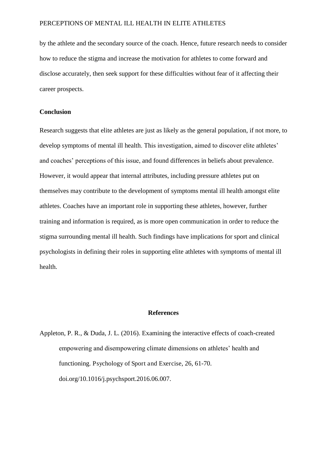by the athlete and the secondary source of the coach. Hence, future research needs to consider how to reduce the stigma and increase the motivation for athletes to come forward and disclose accurately, then seek support for these difficulties without fear of it affecting their career prospects.

# **Conclusion**

Research suggests that elite athletes are just as likely as the general population, if not more, to develop symptoms of mental ill health. This investigation, aimed to discover elite athletes' and coaches' perceptions of this issue, and found differences in beliefs about prevalence. However, it would appear that internal attributes, including pressure athletes put on themselves may contribute to the development of symptoms mental ill health amongst elite athletes. Coaches have an important role in supporting these athletes, however, further training and information is required, as is more open communication in order to reduce the stigma surrounding mental ill health. Such findings have implications for sport and clinical psychologists in defining their roles in supporting elite athletes with symptoms of mental ill health.

# **References**

Appleton, P. R., & Duda, J. L. (2016). Examining the interactive effects of coach-created empowering and disempowering climate dimensions on athletes' health and functioning. Psychology of Sport and Exercise, 26, 61-70. doi.org/10.1016/j.psychsport.2016.06.007.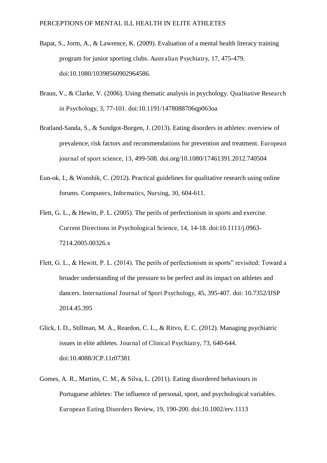- Bapat, S., Jorm, A., & Lawrence, K. (2009). Evaluation of a mental health literacy training program for junior sporting clubs. Australian Psychiatry, 17, 475-479. doi:10.1080/10398560902964586.
- Braun, V., & Clarke, V. (2006). Using thematic analysis in psychology. Qualitative Research in Psychology, 3, 77-101. doi:10.1191/1478088706qp063oa
- Bratland-Sanda, S., & Sundgot-Borgen, J. (2013). Eating disorders in athletes: overview of prevalence, risk factors and recommendations for prevention and treatment. European journal of sport science, 13, 499-508. doi.org/10.1080/17461391.2012.740504
- Eun-ok, I., & Wonshik, C. (2012). Practical guidelines for qualitative research using online forums. Computers, Informatics, Nursing, 30, 604-611.
- Flett, G. L., & Hewitt, P. L. (2005). The perils of perfectionism in sports and exercise. Current Directions in Psychological Science, 14, 14-18. doi:10.1111/j.0963- 7214.2005.00326.x
- Flett, G. L., & Hewitt, P. L. (2014). The perils of perfectionism in sports" revisited: Toward a broader understanding of the pressure to be perfect and its impact on athletes and dancers. International Journal of Sport Psychology, 45, 395-407. doi: 10.7352/IJSP 2014.45.395
- Glick, I. D., Stillman, M. A., Reardon, C. L., & Ritvo, E. C. (2012). Managing psychiatric issues in elite athletes. Journal of Clinical Psychiatry, 73, 640-644. doi:10.4088/JCP.11r07381
- Gomes, A. R., Martins, C. M., & Silva, L. (2011). Eating disordered behaviours in Portuguese athletes: The influence of personal, sport, and psychological variables. European Eating Disorders Review, 19, 190-200. doi:10.1002/erv.1113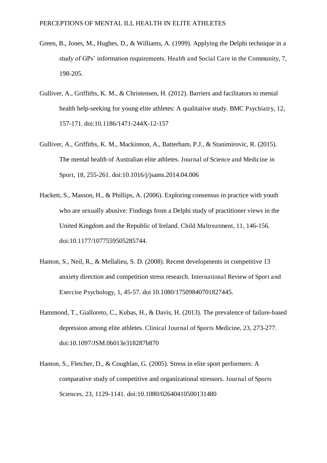- Green, B., Jones, M., Hughes, D., & Williams, A. (1999). Applying the Delphi technique in a study of GPs' information requirements. Health and Social Care in the Community, 7, 198-205.
- Gulliver, A., Griffiths, K. M., & Christensen, H. (2012). Barriers and facilitators to mental health help-seeking for young elite athletes: A qualitative study. BMC Psychiatry, 12, 157-171. doi:10.1186/1471-244X-12-157
- Gulliver, A., Griffiths, K. M., Mackinnon, A., Batterham, P.J., & Stanimirovic, R. (2015). The mental health of Australian elite athletes. Journal of Science and Medicine in Sport, 18, 255-261. doi:10.1016/j/jsams.2014.04.006
- Hackett, S., Masson, H., & Phillips, A. (2006). Exploring consensus in practice with youth who are sexually abusive: Findings from a Delphi study of practitioner views in the United Kingdom and the Republic of Ireland. Child Maltreatment, 11, 146-156. doi:10.1177/1077559505285744.
- Hanton, S., Neil, R., & Mellalieu, S. D. (2008). Recent developments in competitive 13 anxiety direction and competition stress research. International Review of Sport and Exercise Psychology, 1, 45-57. doi 10.1080/17509840701827445.
- Hammond, T., Gialloreto, C., Kubas, H., & Davis, H. (2013). The prevalence of failure-based depression among elite athletes. Clinical Journal of Sports Medicine, 23, 273-277. doi:10.1097/JSM.0b013e318287b870
- Hanton, S., Fletcher, D., & Coughlan, G. (2005). Stress in elite sport performers: A comparative study of competitive and organizational stressors. Journal of Sports Sciences, 23, 1129-1141. doi:10.1080/02640410500131480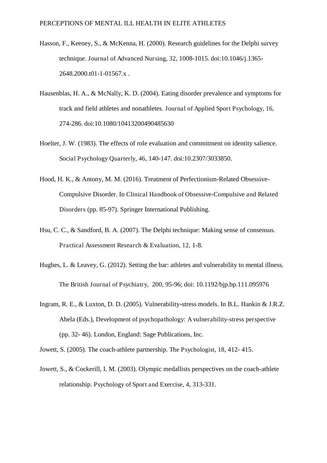- Hasson, F., Keeney, S., & McKenna, H. (2000). Research guidelines for the Delphi survey technique. Journal of Advanced Nursing, 32, 1008-1015. doi:10.1046/j.1365- 2648.2000.t01-1-01567.x .
- Hausenblas, H. A., & McNally, K. D. (2004). Eating disorder prevalence and symptoms for track and field athletes and nonathletes. Journal of Applied Sport Psychology, 16, 274-286. doi:10.1080/10413200490485630
- Hoelter, J. W. (1983). The effects of role evaluation and commitment on identity salience. Social Psychology Quarterly, 46, 140-147. doi:10.2307/3033850.
- Hood, H. K., & Antony, M. M. (2016). Treatment of Perfectionism-Related Obsessive-Compulsive Disorder. In Clinical Handbook of Obsessive-Compulsive and Related Disorders (pp. 85-97). Springer International Publishing.
- Hsu, C. C., & Sandford, B. A. (2007). The Delphi technique: Making sense of consensus. Practical Assessment Research & Evaluation, 12, 1-8.
- Hughes, L. & Leavey, G. (2012). Setting the bar: athletes and vulnerability to mental illness. The British Journal of Psychiatry, 200, 95-96; doi: 10.1192/bjp.bp.111.095976
- Ingram, R. E., & Luxton, D. D. (2005). Vulnerability-stress models. In B.L. Hankin & J.R.Z. Abela (Eds.), Development of psychopathology: A vulnerability-stress perspective (pp. 32- 46). London, England: Sage Publications, Inc.

Jowett, S. (2005). The coach-athlete partnership. The Psychologist, 18, 412- 415.

Jowett, S., & Cockerill, I. M. (2003). Olympic medallists perspectives on the coach-athlete relationship. Psychology of Sport and Exercise, 4, 313-331.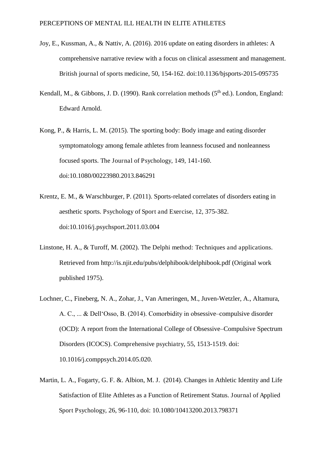- Joy, E., Kussman, A., & Nattiv, A. (2016). 2016 update on eating disorders in athletes: A comprehensive narrative review with a focus on clinical assessment and management. British journal of sports medicine, 50, 154-162. doi:10.1136/bjsports-2015-095735
- Kendall, M., & Gibbons, J. D. (1990). Rank correlation methods ( $5<sup>th</sup>$  ed.). London, England: Edward Arnold.
- Kong, P., & Harris, L. M. (2015). The sporting body: Body image and eating disorder symptomatology among female athletes from leanness focused and nonleanness focused sports. The Journal of Psychology, 149, 141-160. doi:10.1080/00223980.2013.846291
- Krentz, E. M., & Warschburger, P. (2011). Sports-related correlates of disorders eating in aesthetic sports. Psychology of Sport and Exercise, 12, 375-382. doi:10.1016/j.psychsport.2011.03.004
- Linstone, H. A., & Turoff, M. (2002). The Delphi method: Techniques and applications. Retrieved from http://is.njit.edu/pubs/delphibook/delphibook.pdf (Original work published 1975).
- Lochner, C., Fineberg, N. A., Zohar, J., Van Ameringen, M., Juven-Wetzler, A., Altamura, A. C., ... & Dell'Osso, B. (2014). Comorbidity in obsessive–compulsive disorder (OCD): A report from the International College of Obsessive–Compulsive Spectrum Disorders (ICOCS). Comprehensive psychiatry, 55, 1513-1519. doi: 10.1016/j.comppsych.2014.05.020.
- Martin, L. A., Fogarty, G. F. &. Albion, M. J. (2014). Changes in Athletic Identity and Life Satisfaction of Elite Athletes as a Function of Retirement Status. Journal of Applied Sport Psychology, 26, 96-110, doi: 10.1080/10413200.2013.798371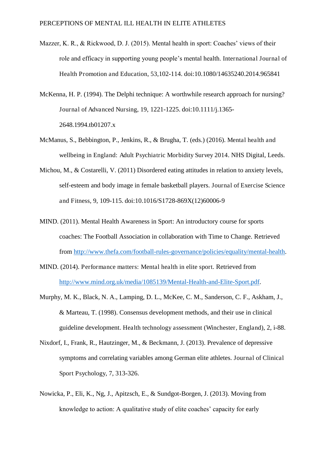- Mazzer, K. R., & Rickwood, D. J. (2015). Mental health in sport: Coaches' views of their role and efficacy in supporting young people's mental health. International Journal of Health Promotion and Education, 53,102-114. doi:10.1080/14635240.2014.965841
- McKenna, H. P. (1994). The Delphi technique: A worthwhile research approach for nursing? Journal of Advanced Nursing, 19, 1221-1225. doi:10.1111/j.1365- 2648.1994.tb01207.x
- McManus, S., Bebbington, P., Jenkins, R., & Brugha, T. (eds.) (2016). Mental health and wellbeing in England: Adult Psychiatric Morbidity Survey 2014. NHS Digital, Leeds.
- Michou, M., & Costarelli, V. (2011) Disordered eating attitudes in relation to anxiety levels, self-esteem and body image in female basketball players. Journal of Exercise Science and Fitness, 9, 109-115. doi:10.1016/S1728-869X(12)60006-9
- MIND. (2011). Mental Health Awareness in Sport: An introductory course for sports coaches: The Football Association in collaboration with Time to Change. Retrieved from [http://www.thefa.com/football-rules-governance/policies/equality/mental-health.](http://www.thefa.com/football-rules-governance/policies/equality/mental-health)
- MIND. (2014). Performance matters: Mental health in elite sport. Retrieved from [http://www.mind.org.uk/media/1085139/Mental-Health-and-Elite-Sport.pdf.](http://www.mind.org.uk/media/1085139/Mental-Health-and-Elite-Sport.pdf)
- Murphy, M. K., Black, N. A., Lamping, D. L., McKee, C. M., Sanderson, C. F., Askham, J., & Marteau, T. (1998). Consensus development methods, and their use in clinical guideline development. Health technology assessment (Winchester, England), 2, i-88.
- Nixdorf, I., Frank, R., Hautzinger, M., & Beckmann, J. (2013). Prevalence of depressive symptoms and correlating variables among German elite athletes. Journal of Clinical Sport Psychology, 7, 313-326.
- Nowicka, P., Eli, K., Ng, J., Apitzsch, E., & Sundgot-Borgen, J. (2013). Moving from knowledge to action: A qualitative study of elite coaches' capacity for early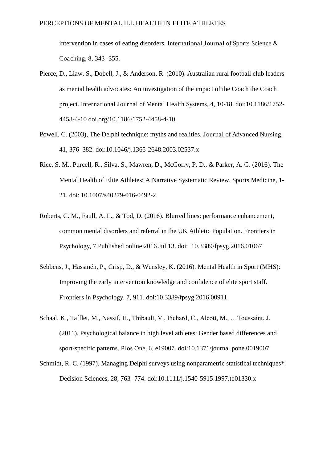intervention in cases of eating disorders. International Journal of Sports Science & Coaching, 8, 343- 355.

- Pierce, D., Liaw, S., Dobell, J., & Anderson, R. (2010). Australian rural football club leaders as mental health advocates: An investigation of the impact of the Coach the Coach project. International Journal of Mental Health Systems, 4, 10-18. doi:10.1186/1752- 4458-4-10 doi.org/10.1186/1752-4458-4-10.
- Powell, C. (2003), The Delphi technique: myths and realities. Journal of Advanced Nursing, 41, 376–382. doi:10.1046/j.1365-2648.2003.02537.x
- Rice, S. M., Purcell, R., Silva, S., Mawren, D., McGorry, P. D., & Parker, A. G. (2016). The Mental Health of Elite Athletes: A Narrative Systematic Review. Sports Medicine, 1- 21. doi: 10.1007/s40279-016-0492-2.
- Roberts, C. M., Faull, A. L., & Tod, D. (2016). Blurred lines: performance enhancement, common mental disorders and referral in the UK Athletic Population. Frontiers in Psychology, 7.Published online 2016 Jul 13. doi: 10.3389/fpsyg.2016.01067
- Sebbens, J., Hassmén, P., Crisp, D., & Wensley, K. (2016). Mental Health in Sport (MHS): Improving the early intervention knowledge and confidence of elite sport staff. Frontiers in Psychology, 7, 911. doi:10.3389/fpsyg.2016.00911.
- Schaal, K., Tafflet, M., Nassif, H., Thibault, V., Pichard, C., Alcott, M., …Toussaint, J. (2011). Psychological balance in high level athletes: Gender based differences and sport-specific patterns. Plos One, 6, e19007. doi:10.1371/journal.pone.0019007
- Schmidt, R. C. (1997). Managing Delphi surveys using nonparametric statistical techniques\*. Decision Sciences, 28, 763- 774. doi:10.1111/j.1540-5915.1997.tb01330.x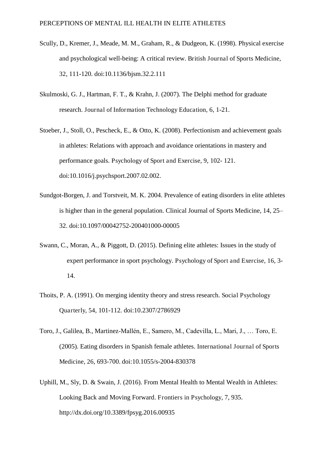- Scully, D., Kremer, J., Meade, M. M., Graham, R., & Dudgeon, K. (1998). Physical exercise and psychological well-being: A critical review. British Journal of Sports Medicine, 32, 111-120. [doi:10.1136/bjsm.32.2.111](http://dx.doi.org/10.1136%2Fbjsm.32.2.111)
- Skulmoski, G. J., Hartman, F. T., & Krahn, J. (2007). The Delphi method for graduate research. Journal of Information Technology Education, 6, 1-21.
- Stoeber, J., Stoll, O., Pescheck, E., & Otto, K. (2008). Perfectionism and achievement goals in athletes: Relations with approach and avoidance orientations in mastery and performance goals. Psychology of Sport and Exercise, 9, 102- 121. doi:10.1016/j.psychsport.2007.02.002.
- Sundgot-Borgen, J. and Torstveit, M. K. 2004. Prevalence of eating disorders in elite athletes is higher than in the general population. Clinical Journal of Sports Medicine, 14, 25– 32. doi:10.1097/00042752-200401000-00005
- Swann, C., Moran, A., & Piggott, D. (2015). Defining elite athletes: Issues in the study of expert performance in sport psychology. Psychology of Sport and Exercise, 16, 3- 14.
- Thoits, P. A. (1991). On merging identity theory and stress research. Social Psychology Quarterly, 54, 101-112. doi:10.2307/2786929
- Toro, J., Galilea, B., Martinez-Mallén, E., Samero, M., Cadevilla, L., Mari, J., … Toro, E. (2005). Eating disorders in Spanish female athletes. International Journal of Sports Medicine, 26, 693-700. doi:10.1055/s-2004-830378
- Uphill, M., Sly, D. & Swain, J. (2016). From Mental Health to Mental Wealth in Athletes: Looking Back and Moving Forward. Frontiers in Psychology, 7, 935. http://dx.doi.org/10.3389/fpsyg.2016.00935